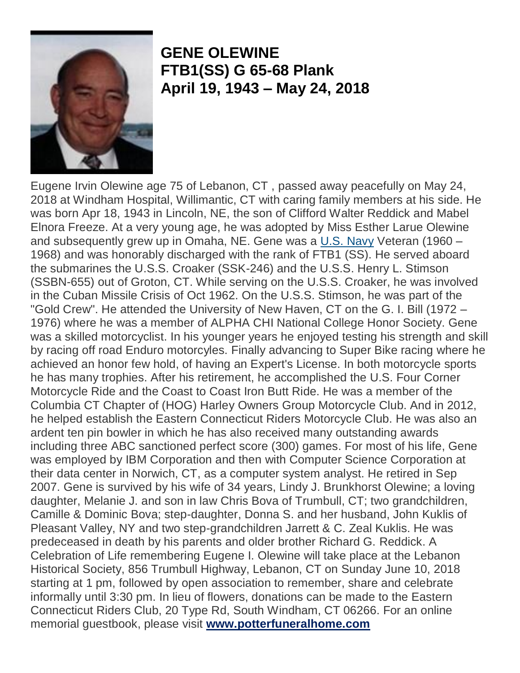

## **GENE OLEWINE FTB1(SS) G 65-68 Plank April 19, 1943 – May 24, 2018**

Eugene Irvin Olewine age 75 of Lebanon, CT , passed away peacefully on May 24, 2018 at Windham Hospital, Willimantic, CT with caring family members at his side. He was born Apr 18, 1943 in Lincoln, NE, the son of Clifford Walter Reddick and Mabel Elnora Freeze. At a very young age, he was adopted by Miss Esther Larue Olewine and subsequently grew up in Omaha, NE. Gene was a  $U.S.$  Navy</u> Veteran (1960 – 1968) and was honorably discharged with the rank of FTB1 (SS). He served aboard the submarines the U.S.S. Croaker (SSK-246) and the U.S.S. Henry L. Stimson (SSBN-655) out of Groton, CT. While serving on the U.S.S. Croaker, he was involved in the Cuban Missile Crisis of Oct 1962. On the U.S.S. Stimson, he was part of the "Gold Crew". He attended the University of New Haven, CT on the G. I. Bill (1972 – 1976) where he was a member of ALPHA CHI National College Honor Society. Gene was a skilled motorcyclist. In his younger years he enjoyed testing his strength and skill by racing off road Enduro motorcyles. Finally advancing to Super Bike racing where he achieved an honor few hold, of having an Expert's License. In both motorcycle sports he has many trophies. After his retirement, he accomplished the U.S. Four Corner Motorcycle Ride and the Coast to Coast Iron Butt Ride. He was a member of the Columbia CT Chapter of (HOG) Harley Owners Group Motorcycle Club. And in 2012, he helped establish the Eastern Connecticut Riders Motorcycle Club. He was also an ardent ten pin bowler in which he has also received many outstanding awards including three ABC sanctioned perfect score (300) games. For most of his life, Gene was employed by IBM Corporation and then with Computer Science Corporation at their data center in Norwich, CT, as a computer system analyst. He retired in Sep 2007. Gene is survived by his wife of 34 years, Lindy J. Brunkhorst Olewine; a loving daughter, Melanie J. and son in law Chris Bova of Trumbull, CT; two grandchildren, Camille & Dominic Bova; step-daughter, Donna S. and her husband, John Kuklis of Pleasant Valley, NY and two step-grandchildren Jarrett & C. Zeal Kuklis. He was predeceased in death by his parents and older brother Richard G. Reddick. A Celebration of Life remembering Eugene I. Olewine will take place at the Lebanon Historical Society, 856 Trumbull Highway, Lebanon, CT on Sunday June 10, 2018 starting at 1 pm, followed by open association to remember, share and celebrate informally until 3:30 pm. In lieu of flowers, donations can be made to the Eastern Connecticut Riders Club, 20 Type Rd, South Windham, CT 06266. For an online memorial guestbook, please visit **[www.potterfuneralhome.com](http://www.potterfuneralhome.com/)**